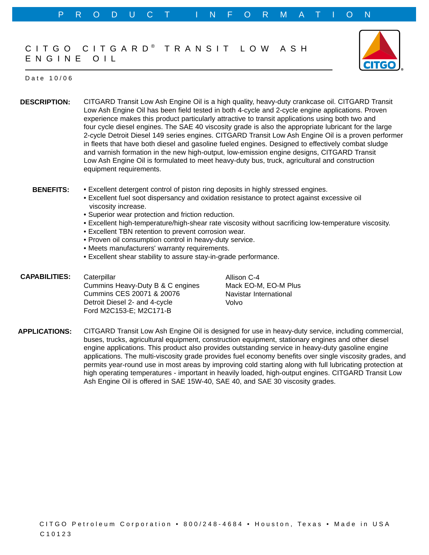## CITGO CITGARD® TRANSIT LOW ASH ENGINE OIL



## Date 10/06

**DESCRIPTION:** CITGARD Transit Low Ash Engine Oil is a high quality, heavy-duty crankcase oil. CITGARD Transit Low Ash Engine Oil has been field tested in both 4-cycle and 2-cycle engine applications. Proven experience makes this product particularly attractive to transit applications using both two and four cycle diesel engines. The SAE 40 viscosity grade is also the appropriate lubricant for the large 2-cycle Detroit Diesel 149 series engines. CITGARD Transit Low Ash Engine Oil is a proven performer in fleets that have both diesel and gasoline fueled engines. Designed to effectively combat sludge and varnish formation in the new high-output, low-emission engine designs, CITGARD Transit Low Ash Engine Oil is formulated to meet heavy-duty bus, truck, agricultural and construction equipment requirements.

- **BENEFITS:** • Excellent detergent control of piston ring deposits in highly stressed engines.
	- Excellent fuel soot dispersancy and oxidation resistance to protect against excessive oil viscosity increase.
	- Superior wear protection and friction reduction.
	- Excellent high-temperature/high-shear rate viscosity without sacrificing low-temperature viscosity.
	- Excellent TBN retention to prevent corrosion wear.
	- Proven oil consumption control in heavy-duty service.
	- Meets manufacturers' warranty requirements.
	- Excellent shear stability to assure stay-in-grade performance.
- **CAPABILITIES: Caterpillar** Cummins Heavy-Duty B & C engines Cummins CES 20071 & 20076 Detroit Diesel 2- and 4-cycle Ford M2C153-E; M2C171-B

Allison C-4 Mack EO-M, EO-M Plus Navistar International Volvo

**APPLICATIONS:** CITGARD Transit Low Ash Engine Oil is designed for use in heavy-duty service, including commercial, buses, trucks, agricultural equipment, construction equipment, stationary engines and other diesel engine applications. This product also provides outstanding service in heavy-duty gasoline engine applications. The multi-viscosity grade provides fuel economy benefits over single viscosity grades, and permits year-round use in most areas by improving cold starting along with full lubricating protection at high operating temperatures - important in heavily loaded, high-output engines. CITGARD Transit Low Ash Engine Oil is offered in SAE 15W-40, SAE 40, and SAE 30 viscosity grades.